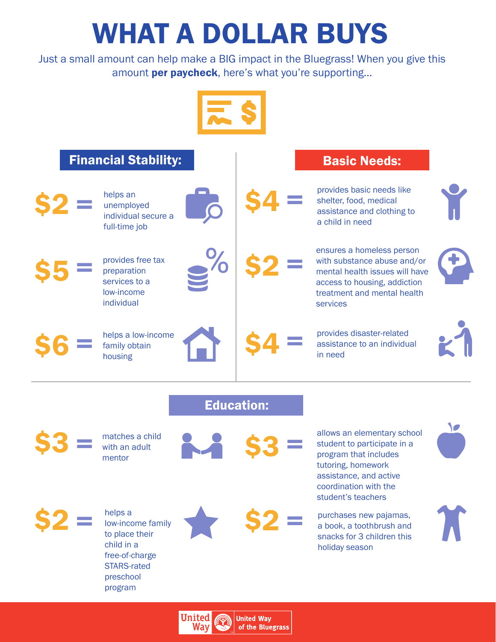## WHAT A DOLLAR BUYS

Just a small amount can help make a BIG impact in the Bluegrass! When you give this amount **per paycheck**, here's what you're supporting...





 $$2 = \frac{helps}{low-inco}$ 

low-income family to place their child in a free-of-charge STARS-rated preschool program







tutoring, homework assistance, and active coordination with the student's teachers

 $\mathbf{\$2}$   $\equiv$  purchases new pajamas,<br>a book, a toothbrush and a book, a toothbrush and snacks for 3 children this holiday season